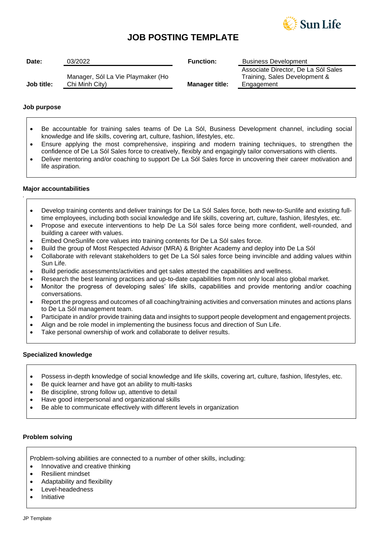

# **JOB POSTING TEMPLATE**

| Date:      | 03/2022                                             | <b>Function:</b>      | <b>Business Development</b>                                                        |
|------------|-----------------------------------------------------|-----------------------|------------------------------------------------------------------------------------|
| Job title: | Manager, Sól La Vie Playmaker (Ho<br>Chi Minh City) | <b>Manager title:</b> | Associate Director, De La Sól Sales<br>Training, Sales Development &<br>Engagement |

### **Job purpose**

- Be accountable for training sales teams of De La Sól, Business Development channel, including social knowledge and life skills, covering art, culture, fashion, lifestyles, etc.
- Ensure applying the most comprehensive, inspiring and modern training techniques, to strengthen the confidence of De La Sól Sales force to creatively, flexibly and engagingly tailor conversations with clients.
- Deliver mentoring and/or coaching to support De La Sól Sales force in uncovering their career motivation and life aspiration.

## **Major accountabilities**

*.*

- Develop training contents and deliver trainings for De La Sól Sales force, both new-to-Sunlife and existing fulltime employees, including both social knowledge and life skills, covering art, culture, fashion, lifestyles, etc.
- Propose and execute interventions to help De La Sól sales force being more confident, well-rounded, and building a career with values.
- Embed OneSunlife core values into training contents for De La Sól sales force.
- Build the group of Most Respected Advisor (MRA) & Brighter Academy and deploy into De La Sól
- Collaborate with relevant stakeholders to get De La Sól sales force being invincible and adding values within Sun Life.
- Build periodic assessments/activities and get sales attested the capabilities and wellness.
- Research the best learning practices and up-to-date capabilities from not only local also global market.
- Monitor the progress of developing sales' life skills, capabilities and provide mentoring and/or coaching conversations.
- Report the progress and outcomes of all coaching/training activities and conversation minutes and actions plans to De La Sól management team.
- Participate in and/or provide training data and insights to support people development and engagement projects.
- Align and be role model in implementing the business focus and direction of Sun Life.
- Take personal ownership of work and collaborate to deliver results.

#### **Specialized knowledge**

- Possess in-depth knowledge of social knowledge and life skills, covering art, culture, fashion, lifestyles, etc.
- Be quick learner and have got an ability to multi-tasks
- Be discipline, strong follow up, attentive to detail
- Have good interpersonal and organizational skills
- Be able to communicate effectively with different levels in organization

#### **Problem solving**

Problem-solving abilities are connected to a number of other skills, including:

- Innovative and creative thinking
- Resilient mindset
- Adaptability and flexibility
- Level-headedness
- Initiative